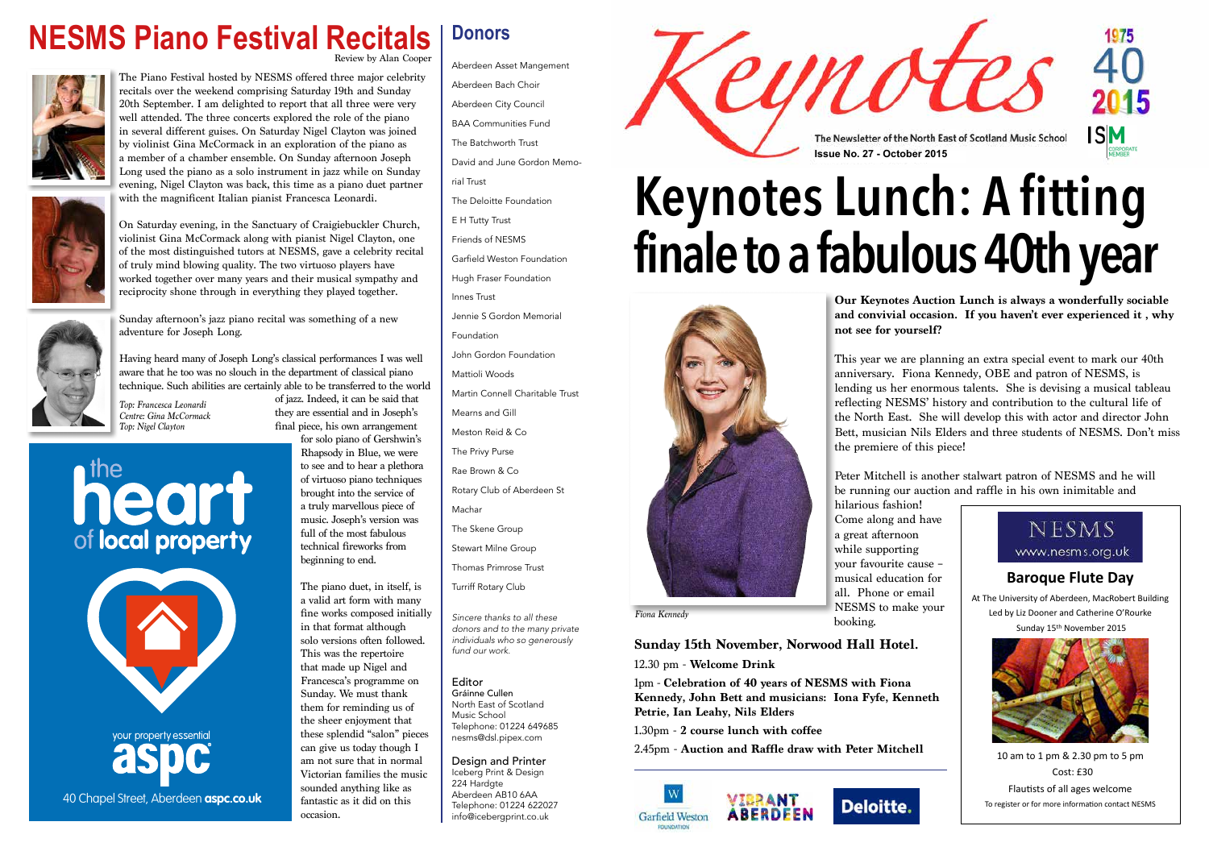

**Keynotes Lunch: A fitting finale to a fabulous 40th year**

> **Our Keynotes Auction Lunch is always a wonderfully sociable and convivial occasion. If you haven't ever experienced it , why**

**not see for yourself?** 

This year we are planning an extra special event to mark our 40th anniversary. Fiona Kennedy, OBE and patron of NESMS, is lending us her enormous talents. She is devising a musical tableau reflecting NESMS' history and contribution to the cultural life of the North East. She will develop this with actor and director John Bett, musician Nils Elders and three students of NESMS. Don't miss

the premiere of this piece!

Peter Mitchell is another stalwart patron of NESMS and he will be running our auction and raffle in his own inimitable and

hilarious fashion! booking.

**Sunday 15th November, Norwood Hall Hotel.**

12.30 pm - **Welcome Drink**

1pm - **Celebration of 40 years of NESMS with Fiona Kennedy, John Bett and musicians: Iona Fyfe, Kenneth Petrie, Ian Leahy, Nils Elders**

1.30pm - **2 course lunch with coffee**

2.45pm - **Auction and Raffle draw with Peter Mitchell**







### **NESMS Piano Festival Recitals** Review by Alan Cooper



The Piano Festival hosted by NESMS offered three major celebrity recitals over the weekend comprising Saturday 19th and Sunday 20th September. I am delighted to report that all three were very well attended. The three concerts explored the role of the piano in several different guises. On Saturday Nigel Clayton was joined by violinist Gina McCormack in an exploration of the piano as a member of a chamber ensemble. On Sunday afternoon Joseph Long used the piano as a solo instrument in jazz while on Sunday evening, Nigel Clayton was back, this time as a piano duet partner with the magnificent Italian pianist Francesca Leonardi.



On Saturday evening, in the Sanctuary of Craigiebuckler Church, violinist Gina McCormack along with pianist Nigel Clayton, one of the most distinguished tutors at NESMS, gave a celebrity recital of truly mind blowing quality. The two virtuoso players have worked together over many years and their musical sympathy and reciprocity shone through in everything they played together.



your property essential 40 Chapel Street, Aberdeen **aspc.co.uk**

Sunday afternoon's jazz piano recital was something of a new adventure for Joseph Long.

Having heard many of Joseph Long's classical performances I was well aware that he too was no slouch in the department of classical piano technique. Such abilities are certainly able to be transferred to the world

of jazz. Indeed, it can be said that they are essential and in Joseph's

final piece, his own arrangement for solo piano of Gershwin's





Rhapsody in Blue, we were to see and to hear a plethora of virtuoso piano techniques brought into the service of a truly marvellous piece of music. Joseph's version was full of the most fabulous technical fireworks from beginning to end.

The piano duet, in itself, is a valid art form with many fine works composed initially in that format although solo versions often followed. This was the repertoire that made up Nigel and Francesca's programme on Sunday. We must thank them for reminding us of the sheer enjoyment that these splendid "salon" pieces can give us today though I am not sure that in normal Victorian families the music sounded anything like as fantastic as it did on this occasion.

**Donors**

Aberdeen Asset Mangement Aberdeen Bach Choir Aberdeen City Council BAA Communities Fund The Batchworth Trust David and June Gordon Memorial Trust The Deloitte Foundation E H Tutty Trust Friends of NESMS Garfield Weston Foundation Hugh Fraser Foundation Innes Trust Jennie S Gordon Memorial Foundation John Gordon Foundation Mattioli Woods Martin Connell Charitable Trust Mearns and Gill Meston Reid & Co The Privy Purse Rae Brown & Co Rotary Club of Aberdeen St Machar The Skene Group Stewart Milne Group Thomas Primrose Trust Turriff Rotary Club

*Sincere thanks to all these donors and to the many private individuals who so generously fund our work.*

Editor Gráinne Cullen North East of Scotland

Music School Telephone: 01224 649685 nesms@dsl.pipex.com

Design and Printer Iceberg Print & Design 224 Hardgte Aberdeen AB10 6AA Telephone: 01224 622027 info@icebergprint.co.uk

*Top: Francesca Leonardi Centre: Gina McCormack Top: Nigel Clayton*

# heart of local property